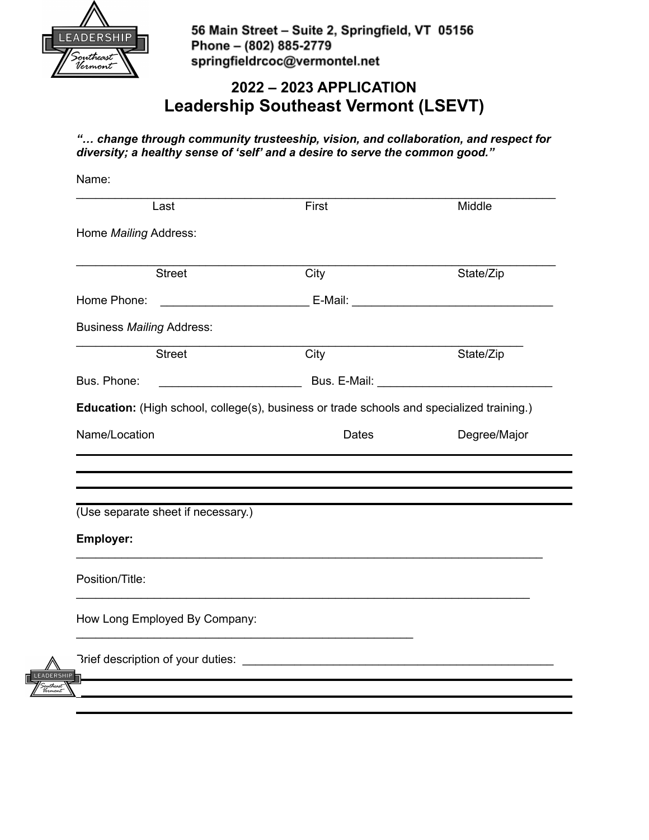

56 Main Street - Suite 2, Springfield, VT 05156 Phone - (802) 885-2779 springfieldrcoc@vermontel.net

# **2022 – 2023 APPLICATION Leadership Southeast Vermont (LSEVT)**

*"… change through community trusteeship, vision, and collaboration, and respect for diversity; a healthy sense of 'self' and a desire to serve the common good."*

|                                                        | Last          | First                                                                                     | Middle                                                                                                |
|--------------------------------------------------------|---------------|-------------------------------------------------------------------------------------------|-------------------------------------------------------------------------------------------------------|
| Home Mailing Address:                                  |               |                                                                                           |                                                                                                       |
|                                                        | <b>Street</b> | City                                                                                      | State/Zip                                                                                             |
| Home Phone:                                            |               |                                                                                           | E-Mail: E-Mail: E-Mail: E-Mail: E-Mail: E-Mail: E-Mail: E-Mail: E-Mail: E-Mail: E-Mail: E-Mail: E-Mai |
| <b>Business Mailing Address:</b>                       |               |                                                                                           |                                                                                                       |
|                                                        | <b>Street</b> | City                                                                                      | State/Zip                                                                                             |
| Bus. Phone:                                            |               |                                                                                           |                                                                                                       |
|                                                        |               | Education: (High school, college(s), business or trade schools and specialized training.) |                                                                                                       |
|                                                        |               |                                                                                           |                                                                                                       |
| Name/Location                                          |               | Dates                                                                                     |                                                                                                       |
|                                                        |               |                                                                                           | Degree/Major                                                                                          |
|                                                        |               |                                                                                           |                                                                                                       |
| (Use separate sheet if necessary.)<br><b>Employer:</b> |               |                                                                                           |                                                                                                       |
| Position/Title:                                        |               |                                                                                           |                                                                                                       |
| How Long Employed By Company:                          |               |                                                                                           |                                                                                                       |
|                                                        |               |                                                                                           |                                                                                                       |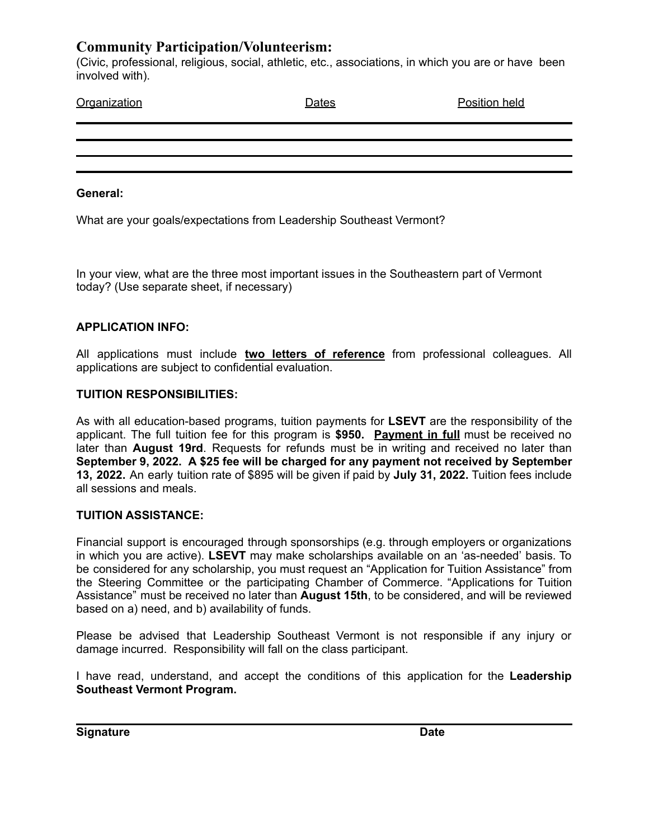## **Community Participation/Volunteerism:**

(Civic, professional, religious, social, athletic, etc., associations, in which you are or have been involved with).

| Organization | Dates | Position held |
|--------------|-------|---------------|
|              |       |               |
|              |       |               |
|              |       |               |
|              |       |               |

#### **General:**

What are your goals/expectations from Leadership Southeast Vermont?

In your view, what are the three most important issues in the Southeastern part of Vermont today? (Use separate sheet, if necessary)

### **APPLICATION INFO:**

All applications must include **two letters of reference** from professional colleagues. All applications are subject to confidential evaluation.

### **TUITION RESPONSIBILITIES:**

As with all education-based programs, tuition payments for **LSEVT** are the responsibility of the applicant. The full tuition fee for this program is **\$950. Payment in full** must be received no later than **August 19rd**. Requests for refunds must be in writing and received no later than **September 9, 2022. A \$25 fee will be charged for any payment not received by September 13, 2022.** An early tuition rate of \$895 will be given if paid by **July 31, 2022.** Tuition fees include all sessions and meals.

### **TUITION ASSISTANCE:**

Financial support is encouraged through sponsorships (e.g. through employers or organizations in which you are active). **LSEVT** may make scholarships available on an 'as-needed' basis. To be considered for any scholarship, you must request an "Application for Tuition Assistance" from the Steering Committee or the participating Chamber of Commerce. "Applications for Tuition Assistance" must be received no later than **August 15th**, to be considered, and will be reviewed based on a) need, and b) availability of funds.

Please be advised that Leadership Southeast Vermont is not responsible if any injury or damage incurred. Responsibility will fall on the class participant.

I have read, understand, and accept the conditions of this application for the **Leadership Southeast Vermont Program.**

**Signature Date**